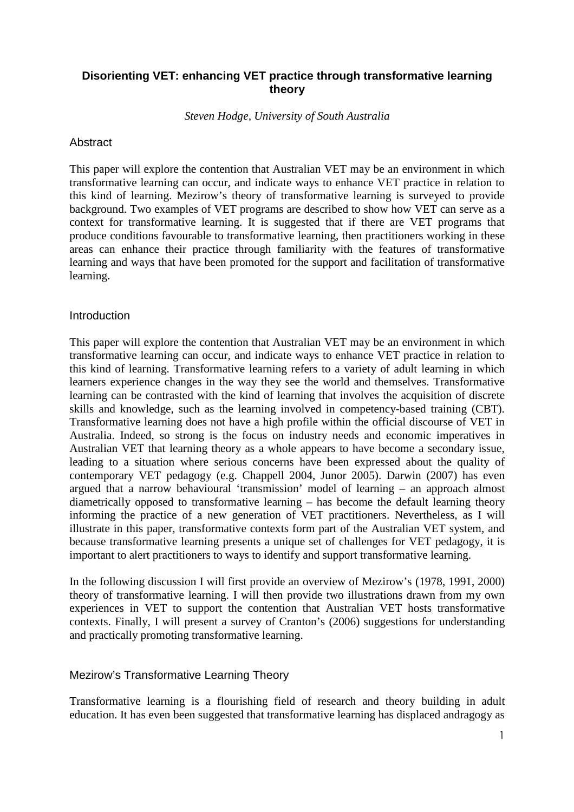# **Disorienting VET: enhancing VET practice through transformative learning theory**

*Steven Hodge, University of South Australia* 

#### Abstract

This paper will explore the contention that Australian VET may be an environment in which transformative learning can occur, and indicate ways to enhance VET practice in relation to this kind of learning. Mezirow's theory of transformative learning is surveyed to provide background. Two examples of VET programs are described to show how VET can serve as a context for transformative learning. It is suggested that if there are VET programs that produce conditions favourable to transformative learning, then practitioners working in these areas can enhance their practice through familiarity with the features of transformative learning and ways that have been promoted for the support and facilitation of transformative learning.

#### **Introduction**

This paper will explore the contention that Australian VET may be an environment in which transformative learning can occur, and indicate ways to enhance VET practice in relation to this kind of learning. Transformative learning refers to a variety of adult learning in which learners experience changes in the way they see the world and themselves. Transformative learning can be contrasted with the kind of learning that involves the acquisition of discrete skills and knowledge, such as the learning involved in competency-based training (CBT). Transformative learning does not have a high profile within the official discourse of VET in Australia. Indeed, so strong is the focus on industry needs and economic imperatives in Australian VET that learning theory as a whole appears to have become a secondary issue, leading to a situation where serious concerns have been expressed about the quality of contemporary VET pedagogy (e.g. Chappell 2004, Junor 2005). Darwin (2007) has even argued that a narrow behavioural 'transmission' model of learning – an approach almost diametrically opposed to transformative learning – has become the default learning theory informing the practice of a new generation of VET practitioners. Nevertheless, as I will illustrate in this paper, transformative contexts form part of the Australian VET system, and because transformative learning presents a unique set of challenges for VET pedagogy, it is important to alert practitioners to ways to identify and support transformative learning.

In the following discussion I will first provide an overview of Mezirow's (1978, 1991, 2000) theory of transformative learning. I will then provide two illustrations drawn from my own experiences in VET to support the contention that Australian VET hosts transformative contexts. Finally, I will present a survey of Cranton's (2006) suggestions for understanding and practically promoting transformative learning.

# Mezirow's Transformative Learning Theory

Transformative learning is a flourishing field of research and theory building in adult education. It has even been suggested that transformative learning has displaced andragogy as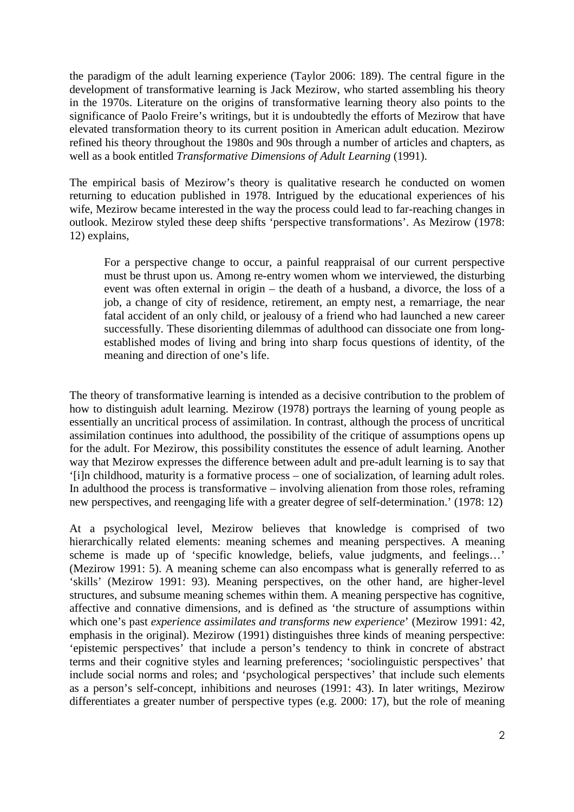the paradigm of the adult learning experience (Taylor 2006: 189). The central figure in the development of transformative learning is Jack Mezirow, who started assembling his theory in the 1970s. Literature on the origins of transformative learning theory also points to the significance of Paolo Freire's writings, but it is undoubtedly the efforts of Mezirow that have elevated transformation theory to its current position in American adult education. Mezirow refined his theory throughout the 1980s and 90s through a number of articles and chapters, as well as a book entitled *Transformative Dimensions of Adult Learning* (1991).

The empirical basis of Mezirow's theory is qualitative research he conducted on women returning to education published in 1978. Intrigued by the educational experiences of his wife, Mezirow became interested in the way the process could lead to far-reaching changes in outlook. Mezirow styled these deep shifts 'perspective transformations'. As Mezirow (1978: 12) explains,

For a perspective change to occur, a painful reappraisal of our current perspective must be thrust upon us. Among re-entry women whom we interviewed, the disturbing event was often external in origin – the death of a husband, a divorce, the loss of a job, a change of city of residence, retirement, an empty nest, a remarriage, the near fatal accident of an only child, or jealousy of a friend who had launched a new career successfully. These disorienting dilemmas of adulthood can dissociate one from longestablished modes of living and bring into sharp focus questions of identity, of the meaning and direction of one's life.

The theory of transformative learning is intended as a decisive contribution to the problem of how to distinguish adult learning. Mezirow (1978) portrays the learning of young people as essentially an uncritical process of assimilation. In contrast, although the process of uncritical assimilation continues into adulthood, the possibility of the critique of assumptions opens up for the adult. For Mezirow, this possibility constitutes the essence of adult learning. Another way that Mezirow expresses the difference between adult and pre-adult learning is to say that '[i]n childhood, maturity is a formative process – one of socialization, of learning adult roles. In adulthood the process is transformative – involving alienation from those roles, reframing new perspectives, and reengaging life with a greater degree of self-determination.' (1978: 12)

At a psychological level, Mezirow believes that knowledge is comprised of two hierarchically related elements: meaning schemes and meaning perspectives. A meaning scheme is made up of 'specific knowledge, beliefs, value judgments, and feelings…' (Mezirow 1991: 5). A meaning scheme can also encompass what is generally referred to as 'skills' (Mezirow 1991: 93). Meaning perspectives, on the other hand, are higher-level structures, and subsume meaning schemes within them. A meaning perspective has cognitive, affective and connative dimensions, and is defined as 'the structure of assumptions within which one's past *experience assimilates and transforms new experience*' (Mezirow 1991: 42, emphasis in the original). Mezirow (1991) distinguishes three kinds of meaning perspective: 'epistemic perspectives' that include a person's tendency to think in concrete of abstract terms and their cognitive styles and learning preferences; 'sociolinguistic perspectives' that include social norms and roles; and 'psychological perspectives' that include such elements as a person's self-concept, inhibitions and neuroses (1991: 43). In later writings, Mezirow differentiates a greater number of perspective types (e.g. 2000: 17), but the role of meaning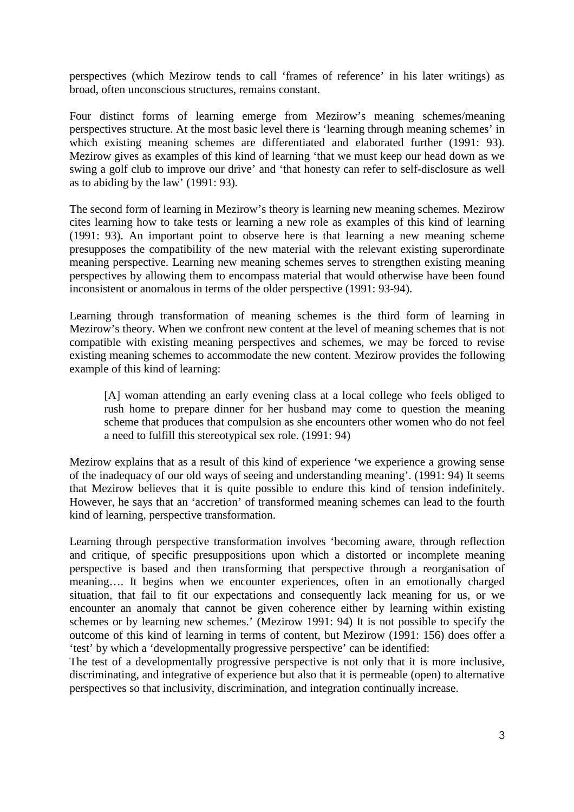perspectives (which Mezirow tends to call 'frames of reference' in his later writings) as broad, often unconscious structures, remains constant.

Four distinct forms of learning emerge from Mezirow's meaning schemes/meaning perspectives structure. At the most basic level there is 'learning through meaning schemes' in which existing meaning schemes are differentiated and elaborated further (1991: 93). Mezirow gives as examples of this kind of learning 'that we must keep our head down as we swing a golf club to improve our drive' and 'that honesty can refer to self-disclosure as well as to abiding by the law' (1991: 93).

The second form of learning in Mezirow's theory is learning new meaning schemes. Mezirow cites learning how to take tests or learning a new role as examples of this kind of learning (1991: 93). An important point to observe here is that learning a new meaning scheme presupposes the compatibility of the new material with the relevant existing superordinate meaning perspective. Learning new meaning schemes serves to strengthen existing meaning perspectives by allowing them to encompass material that would otherwise have been found inconsistent or anomalous in terms of the older perspective (1991: 93-94).

Learning through transformation of meaning schemes is the third form of learning in Mezirow's theory. When we confront new content at the level of meaning schemes that is not compatible with existing meaning perspectives and schemes, we may be forced to revise existing meaning schemes to accommodate the new content. Mezirow provides the following example of this kind of learning:

[A] woman attending an early evening class at a local college who feels obliged to rush home to prepare dinner for her husband may come to question the meaning scheme that produces that compulsion as she encounters other women who do not feel a need to fulfill this stereotypical sex role. (1991: 94)

Mezirow explains that as a result of this kind of experience 'we experience a growing sense of the inadequacy of our old ways of seeing and understanding meaning'. (1991: 94) It seems that Mezirow believes that it is quite possible to endure this kind of tension indefinitely. However, he says that an 'accretion' of transformed meaning schemes can lead to the fourth kind of learning, perspective transformation.

Learning through perspective transformation involves 'becoming aware, through reflection and critique, of specific presuppositions upon which a distorted or incomplete meaning perspective is based and then transforming that perspective through a reorganisation of meaning…. It begins when we encounter experiences, often in an emotionally charged situation, that fail to fit our expectations and consequently lack meaning for us, or we encounter an anomaly that cannot be given coherence either by learning within existing schemes or by learning new schemes.' (Mezirow 1991: 94) It is not possible to specify the outcome of this kind of learning in terms of content, but Mezirow (1991: 156) does offer a 'test' by which a 'developmentally progressive perspective' can be identified:

The test of a developmentally progressive perspective is not only that it is more inclusive, discriminating, and integrative of experience but also that it is permeable (open) to alternative perspectives so that inclusivity, discrimination, and integration continually increase.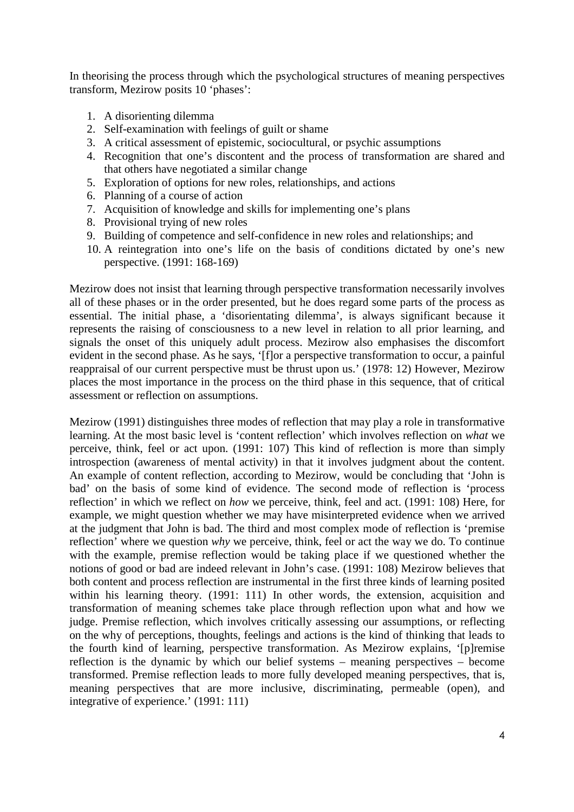In theorising the process through which the psychological structures of meaning perspectives transform, Mezirow posits 10 'phases':

- 1. A disorienting dilemma
- 2. Self-examination with feelings of guilt or shame
- 3. A critical assessment of epistemic, sociocultural, or psychic assumptions
- 4. Recognition that one's discontent and the process of transformation are shared and that others have negotiated a similar change
- 5. Exploration of options for new roles, relationships, and actions
- 6. Planning of a course of action
- 7. Acquisition of knowledge and skills for implementing one's plans
- 8. Provisional trying of new roles
- 9. Building of competence and self-confidence in new roles and relationships; and
- 10. A reintegration into one's life on the basis of conditions dictated by one's new perspective. (1991: 168-169)

Mezirow does not insist that learning through perspective transformation necessarily involves all of these phases or in the order presented, but he does regard some parts of the process as essential. The initial phase, a 'disorientating dilemma', is always significant because it represents the raising of consciousness to a new level in relation to all prior learning, and signals the onset of this uniquely adult process. Mezirow also emphasises the discomfort evident in the second phase. As he says, '[f]or a perspective transformation to occur, a painful reappraisal of our current perspective must be thrust upon us.' (1978: 12) However, Mezirow places the most importance in the process on the third phase in this sequence, that of critical assessment or reflection on assumptions.

Mezirow (1991) distinguishes three modes of reflection that may play a role in transformative learning. At the most basic level is 'content reflection' which involves reflection on *what* we perceive, think, feel or act upon. (1991: 107) This kind of reflection is more than simply introspection (awareness of mental activity) in that it involves judgment about the content. An example of content reflection, according to Mezirow, would be concluding that 'John is bad' on the basis of some kind of evidence. The second mode of reflection is 'process reflection' in which we reflect on *how* we perceive, think, feel and act. (1991: 108) Here, for example, we might question whether we may have misinterpreted evidence when we arrived at the judgment that John is bad. The third and most complex mode of reflection is 'premise reflection' where we question *why* we perceive, think, feel or act the way we do. To continue with the example, premise reflection would be taking place if we questioned whether the notions of good or bad are indeed relevant in John's case. (1991: 108) Mezirow believes that both content and process reflection are instrumental in the first three kinds of learning posited within his learning theory. (1991: 111) In other words, the extension, acquisition and transformation of meaning schemes take place through reflection upon what and how we judge. Premise reflection, which involves critically assessing our assumptions, or reflecting on the why of perceptions, thoughts, feelings and actions is the kind of thinking that leads to the fourth kind of learning, perspective transformation. As Mezirow explains, '[p]remise reflection is the dynamic by which our belief systems – meaning perspectives – become transformed. Premise reflection leads to more fully developed meaning perspectives, that is, meaning perspectives that are more inclusive, discriminating, permeable (open), and integrative of experience.' (1991: 111)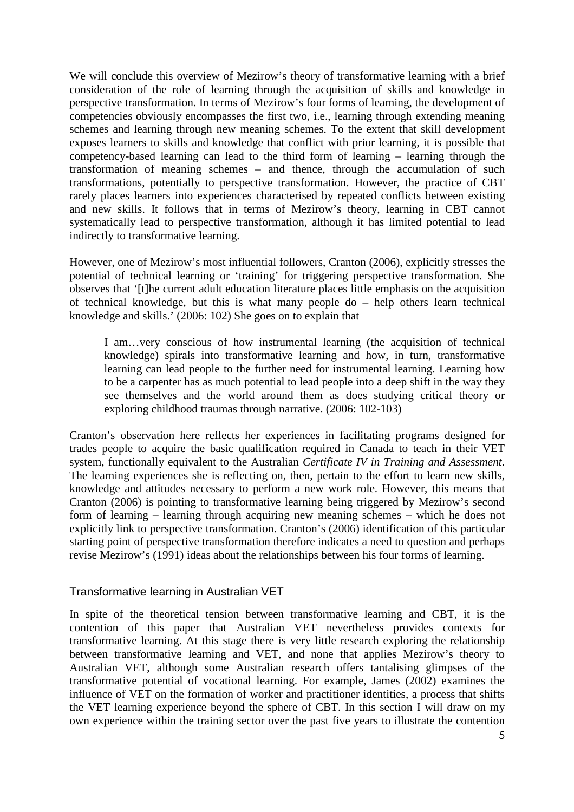We will conclude this overview of Mezirow's theory of transformative learning with a brief consideration of the role of learning through the acquisition of skills and knowledge in perspective transformation. In terms of Mezirow's four forms of learning, the development of competencies obviously encompasses the first two, i.e., learning through extending meaning schemes and learning through new meaning schemes. To the extent that skill development exposes learners to skills and knowledge that conflict with prior learning, it is possible that competency-based learning can lead to the third form of learning – learning through the transformation of meaning schemes – and thence, through the accumulation of such transformations, potentially to perspective transformation. However, the practice of CBT rarely places learners into experiences characterised by repeated conflicts between existing and new skills. It follows that in terms of Mezirow's theory, learning in CBT cannot systematically lead to perspective transformation, although it has limited potential to lead indirectly to transformative learning.

However, one of Mezirow's most influential followers, Cranton (2006), explicitly stresses the potential of technical learning or 'training' for triggering perspective transformation. She observes that '[t]he current adult education literature places little emphasis on the acquisition of technical knowledge, but this is what many people do – help others learn technical knowledge and skills.' (2006: 102) She goes on to explain that

I am…very conscious of how instrumental learning (the acquisition of technical knowledge) spirals into transformative learning and how, in turn, transformative learning can lead people to the further need for instrumental learning. Learning how to be a carpenter has as much potential to lead people into a deep shift in the way they see themselves and the world around them as does studying critical theory or exploring childhood traumas through narrative. (2006: 102-103)

Cranton's observation here reflects her experiences in facilitating programs designed for trades people to acquire the basic qualification required in Canada to teach in their VET system, functionally equivalent to the Australian *Certificate IV in Training and Assessment*. The learning experiences she is reflecting on, then, pertain to the effort to learn new skills, knowledge and attitudes necessary to perform a new work role. However, this means that Cranton (2006) is pointing to transformative learning being triggered by Mezirow's second form of learning – learning through acquiring new meaning schemes – which he does not explicitly link to perspective transformation. Cranton's (2006) identification of this particular starting point of perspective transformation therefore indicates a need to question and perhaps revise Mezirow's (1991) ideas about the relationships between his four forms of learning.

# Transformative learning in Australian VET

In spite of the theoretical tension between transformative learning and CBT, it is the contention of this paper that Australian VET nevertheless provides contexts for transformative learning. At this stage there is very little research exploring the relationship between transformative learning and VET, and none that applies Mezirow's theory to Australian VET, although some Australian research offers tantalising glimpses of the transformative potential of vocational learning. For example, James (2002) examines the influence of VET on the formation of worker and practitioner identities, a process that shifts the VET learning experience beyond the sphere of CBT. In this section I will draw on my own experience within the training sector over the past five years to illustrate the contention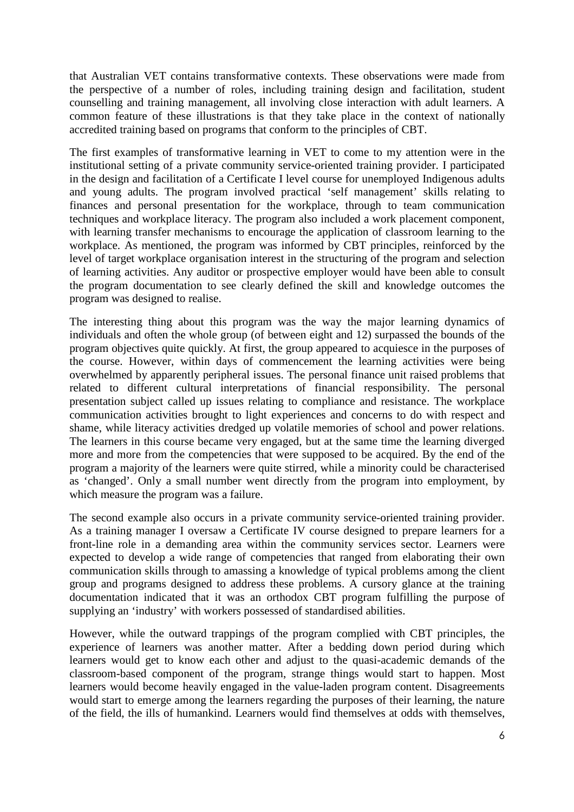that Australian VET contains transformative contexts. These observations were made from the perspective of a number of roles, including training design and facilitation, student counselling and training management, all involving close interaction with adult learners. A common feature of these illustrations is that they take place in the context of nationally accredited training based on programs that conform to the principles of CBT.

The first examples of transformative learning in VET to come to my attention were in the institutional setting of a private community service-oriented training provider. I participated in the design and facilitation of a Certificate I level course for unemployed Indigenous adults and young adults. The program involved practical 'self management' skills relating to finances and personal presentation for the workplace, through to team communication techniques and workplace literacy. The program also included a work placement component, with learning transfer mechanisms to encourage the application of classroom learning to the workplace. As mentioned, the program was informed by CBT principles, reinforced by the level of target workplace organisation interest in the structuring of the program and selection of learning activities. Any auditor or prospective employer would have been able to consult the program documentation to see clearly defined the skill and knowledge outcomes the program was designed to realise.

The interesting thing about this program was the way the major learning dynamics of individuals and often the whole group (of between eight and 12) surpassed the bounds of the program objectives quite quickly. At first, the group appeared to acquiesce in the purposes of the course. However, within days of commencement the learning activities were being overwhelmed by apparently peripheral issues. The personal finance unit raised problems that related to different cultural interpretations of financial responsibility. The personal presentation subject called up issues relating to compliance and resistance. The workplace communication activities brought to light experiences and concerns to do with respect and shame, while literacy activities dredged up volatile memories of school and power relations. The learners in this course became very engaged, but at the same time the learning diverged more and more from the competencies that were supposed to be acquired. By the end of the program a majority of the learners were quite stirred, while a minority could be characterised as 'changed'. Only a small number went directly from the program into employment, by which measure the program was a failure.

The second example also occurs in a private community service-oriented training provider. As a training manager I oversaw a Certificate IV course designed to prepare learners for a front-line role in a demanding area within the community services sector. Learners were expected to develop a wide range of competencies that ranged from elaborating their own communication skills through to amassing a knowledge of typical problems among the client group and programs designed to address these problems. A cursory glance at the training documentation indicated that it was an orthodox CBT program fulfilling the purpose of supplying an 'industry' with workers possessed of standardised abilities.

However, while the outward trappings of the program complied with CBT principles, the experience of learners was another matter. After a bedding down period during which learners would get to know each other and adjust to the quasi-academic demands of the classroom-based component of the program, strange things would start to happen. Most learners would become heavily engaged in the value-laden program content. Disagreements would start to emerge among the learners regarding the purposes of their learning, the nature of the field, the ills of humankind. Learners would find themselves at odds with themselves,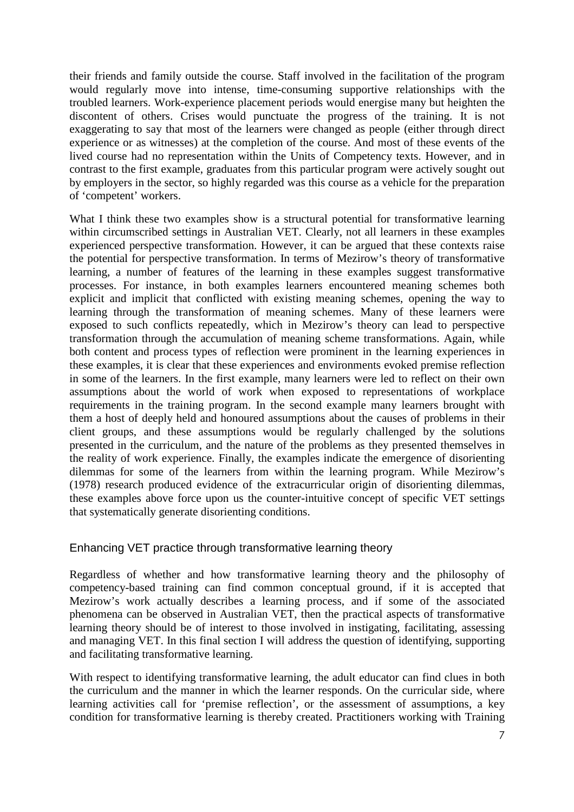their friends and family outside the course. Staff involved in the facilitation of the program would regularly move into intense, time-consuming supportive relationships with the troubled learners. Work-experience placement periods would energise many but heighten the discontent of others. Crises would punctuate the progress of the training. It is not exaggerating to say that most of the learners were changed as people (either through direct experience or as witnesses) at the completion of the course. And most of these events of the lived course had no representation within the Units of Competency texts. However, and in contrast to the first example, graduates from this particular program were actively sought out by employers in the sector, so highly regarded was this course as a vehicle for the preparation of 'competent' workers.

What I think these two examples show is a structural potential for transformative learning within circumscribed settings in Australian VET. Clearly, not all learners in these examples experienced perspective transformation. However, it can be argued that these contexts raise the potential for perspective transformation. In terms of Mezirow's theory of transformative learning, a number of features of the learning in these examples suggest transformative processes. For instance, in both examples learners encountered meaning schemes both explicit and implicit that conflicted with existing meaning schemes, opening the way to learning through the transformation of meaning schemes. Many of these learners were exposed to such conflicts repeatedly, which in Mezirow's theory can lead to perspective transformation through the accumulation of meaning scheme transformations. Again, while both content and process types of reflection were prominent in the learning experiences in these examples, it is clear that these experiences and environments evoked premise reflection in some of the learners. In the first example, many learners were led to reflect on their own assumptions about the world of work when exposed to representations of workplace requirements in the training program. In the second example many learners brought with them a host of deeply held and honoured assumptions about the causes of problems in their client groups, and these assumptions would be regularly challenged by the solutions presented in the curriculum, and the nature of the problems as they presented themselves in the reality of work experience. Finally, the examples indicate the emergence of disorienting dilemmas for some of the learners from within the learning program. While Mezirow's (1978) research produced evidence of the extracurricular origin of disorienting dilemmas, these examples above force upon us the counter-intuitive concept of specific VET settings that systematically generate disorienting conditions.

# Enhancing VET practice through transformative learning theory

Regardless of whether and how transformative learning theory and the philosophy of competency-based training can find common conceptual ground, if it is accepted that Mezirow's work actually describes a learning process, and if some of the associated phenomena can be observed in Australian VET, then the practical aspects of transformative learning theory should be of interest to those involved in instigating, facilitating, assessing and managing VET. In this final section I will address the question of identifying, supporting and facilitating transformative learning.

With respect to identifying transformative learning, the adult educator can find clues in both the curriculum and the manner in which the learner responds. On the curricular side, where learning activities call for 'premise reflection', or the assessment of assumptions, a key condition for transformative learning is thereby created. Practitioners working with Training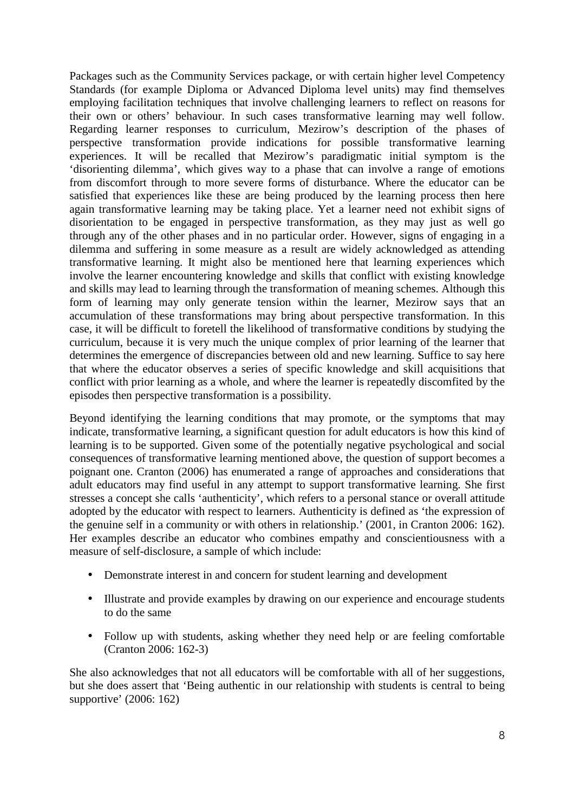Packages such as the Community Services package, or with certain higher level Competency Standards (for example Diploma or Advanced Diploma level units) may find themselves employing facilitation techniques that involve challenging learners to reflect on reasons for their own or others' behaviour. In such cases transformative learning may well follow. Regarding learner responses to curriculum, Mezirow's description of the phases of perspective transformation provide indications for possible transformative learning experiences. It will be recalled that Mezirow's paradigmatic initial symptom is the 'disorienting dilemma', which gives way to a phase that can involve a range of emotions from discomfort through to more severe forms of disturbance. Where the educator can be satisfied that experiences like these are being produced by the learning process then here again transformative learning may be taking place. Yet a learner need not exhibit signs of disorientation to be engaged in perspective transformation, as they may just as well go through any of the other phases and in no particular order. However, signs of engaging in a dilemma and suffering in some measure as a result are widely acknowledged as attending transformative learning. It might also be mentioned here that learning experiences which involve the learner encountering knowledge and skills that conflict with existing knowledge and skills may lead to learning through the transformation of meaning schemes. Although this form of learning may only generate tension within the learner, Mezirow says that an accumulation of these transformations may bring about perspective transformation. In this case, it will be difficult to foretell the likelihood of transformative conditions by studying the curriculum, because it is very much the unique complex of prior learning of the learner that determines the emergence of discrepancies between old and new learning. Suffice to say here that where the educator observes a series of specific knowledge and skill acquisitions that conflict with prior learning as a whole, and where the learner is repeatedly discomfited by the episodes then perspective transformation is a possibility.

Beyond identifying the learning conditions that may promote, or the symptoms that may indicate, transformative learning, a significant question for adult educators is how this kind of learning is to be supported. Given some of the potentially negative psychological and social consequences of transformative learning mentioned above, the question of support becomes a poignant one. Cranton (2006) has enumerated a range of approaches and considerations that adult educators may find useful in any attempt to support transformative learning. She first stresses a concept she calls 'authenticity', which refers to a personal stance or overall attitude adopted by the educator with respect to learners. Authenticity is defined as 'the expression of the genuine self in a community or with others in relationship.' (2001, in Cranton 2006: 162). Her examples describe an educator who combines empathy and conscientiousness with a measure of self-disclosure, a sample of which include:

- Demonstrate interest in and concern for student learning and development
- Illustrate and provide examples by drawing on our experience and encourage students to do the same
- Follow up with students, asking whether they need help or are feeling comfortable (Cranton 2006: 162-3)

She also acknowledges that not all educators will be comfortable with all of her suggestions, but she does assert that 'Being authentic in our relationship with students is central to being supportive' (2006: 162)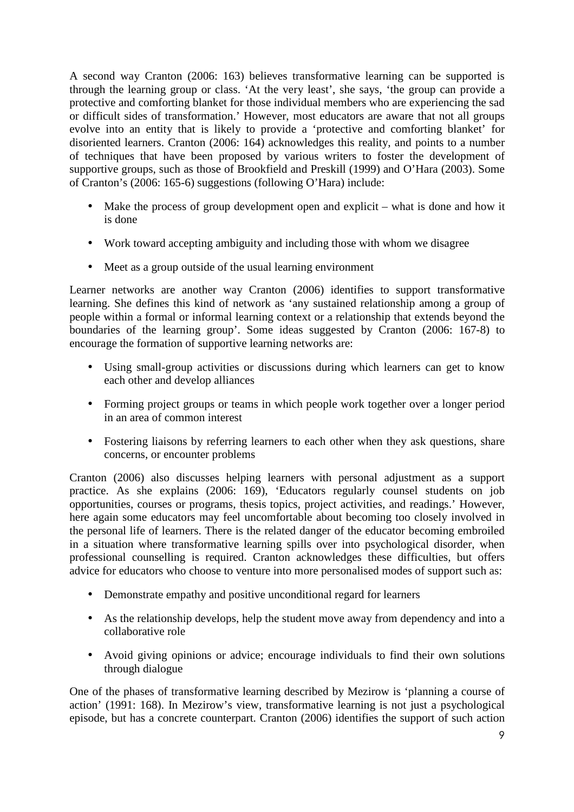A second way Cranton (2006: 163) believes transformative learning can be supported is through the learning group or class. 'At the very least', she says, 'the group can provide a protective and comforting blanket for those individual members who are experiencing the sad or difficult sides of transformation.' However, most educators are aware that not all groups evolve into an entity that is likely to provide a 'protective and comforting blanket' for disoriented learners. Cranton (2006: 164) acknowledges this reality, and points to a number of techniques that have been proposed by various writers to foster the development of supportive groups, such as those of Brookfield and Preskill (1999) and O'Hara (2003). Some of Cranton's (2006: 165-6) suggestions (following O'Hara) include:

- Make the process of group development open and explicit what is done and how it is done
- Work toward accepting ambiguity and including those with whom we disagree
- Meet as a group outside of the usual learning environment

Learner networks are another way Cranton (2006) identifies to support transformative learning. She defines this kind of network as 'any sustained relationship among a group of people within a formal or informal learning context or a relationship that extends beyond the boundaries of the learning group'. Some ideas suggested by Cranton (2006: 167-8) to encourage the formation of supportive learning networks are:

- Using small-group activities or discussions during which learners can get to know each other and develop alliances
- Forming project groups or teams in which people work together over a longer period in an area of common interest
- Fostering liaisons by referring learners to each other when they ask questions, share concerns, or encounter problems

Cranton (2006) also discusses helping learners with personal adjustment as a support practice. As she explains (2006: 169), 'Educators regularly counsel students on job opportunities, courses or programs, thesis topics, project activities, and readings.' However, here again some educators may feel uncomfortable about becoming too closely involved in the personal life of learners. There is the related danger of the educator becoming embroiled in a situation where transformative learning spills over into psychological disorder, when professional counselling is required. Cranton acknowledges these difficulties, but offers advice for educators who choose to venture into more personalised modes of support such as:

- Demonstrate empathy and positive unconditional regard for learners
- As the relationship develops, help the student move away from dependency and into a collaborative role
- Avoid giving opinions or advice; encourage individuals to find their own solutions through dialogue

One of the phases of transformative learning described by Mezirow is 'planning a course of action' (1991: 168). In Mezirow's view, transformative learning is not just a psychological episode, but has a concrete counterpart. Cranton (2006) identifies the support of such action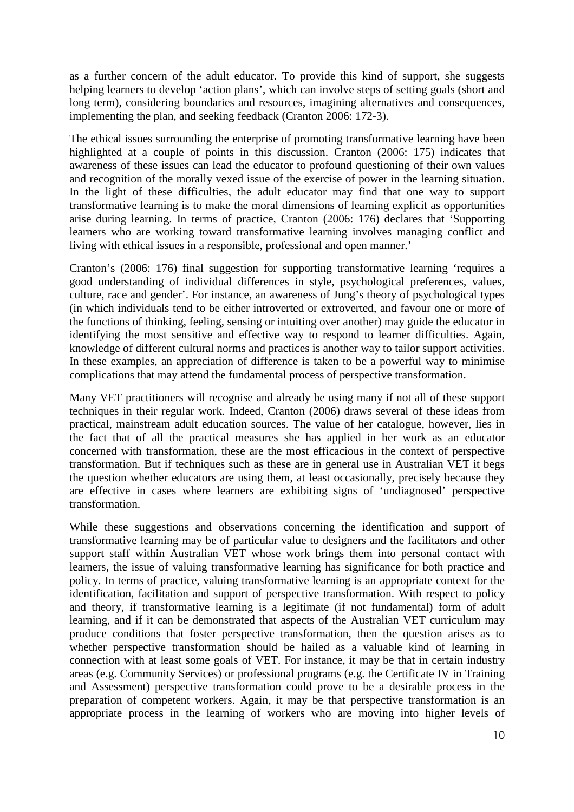as a further concern of the adult educator. To provide this kind of support, she suggests helping learners to develop 'action plans', which can involve steps of setting goals (short and long term), considering boundaries and resources, imagining alternatives and consequences, implementing the plan, and seeking feedback (Cranton 2006: 172-3).

The ethical issues surrounding the enterprise of promoting transformative learning have been highlighted at a couple of points in this discussion. Cranton (2006: 175) indicates that awareness of these issues can lead the educator to profound questioning of their own values and recognition of the morally vexed issue of the exercise of power in the learning situation. In the light of these difficulties, the adult educator may find that one way to support transformative learning is to make the moral dimensions of learning explicit as opportunities arise during learning. In terms of practice, Cranton (2006: 176) declares that 'Supporting learners who are working toward transformative learning involves managing conflict and living with ethical issues in a responsible, professional and open manner.'

Cranton's (2006: 176) final suggestion for supporting transformative learning 'requires a good understanding of individual differences in style, psychological preferences, values, culture, race and gender'. For instance, an awareness of Jung's theory of psychological types (in which individuals tend to be either introverted or extroverted, and favour one or more of the functions of thinking, feeling, sensing or intuiting over another) may guide the educator in identifying the most sensitive and effective way to respond to learner difficulties. Again, knowledge of different cultural norms and practices is another way to tailor support activities. In these examples, an appreciation of difference is taken to be a powerful way to minimise complications that may attend the fundamental process of perspective transformation.

Many VET practitioners will recognise and already be using many if not all of these support techniques in their regular work. Indeed, Cranton (2006) draws several of these ideas from practical, mainstream adult education sources. The value of her catalogue, however, lies in the fact that of all the practical measures she has applied in her work as an educator concerned with transformation, these are the most efficacious in the context of perspective transformation. But if techniques such as these are in general use in Australian VET it begs the question whether educators are using them, at least occasionally, precisely because they are effective in cases where learners are exhibiting signs of 'undiagnosed' perspective transformation.

While these suggestions and observations concerning the identification and support of transformative learning may be of particular value to designers and the facilitators and other support staff within Australian VET whose work brings them into personal contact with learners, the issue of valuing transformative learning has significance for both practice and policy. In terms of practice, valuing transformative learning is an appropriate context for the identification, facilitation and support of perspective transformation. With respect to policy and theory, if transformative learning is a legitimate (if not fundamental) form of adult learning, and if it can be demonstrated that aspects of the Australian VET curriculum may produce conditions that foster perspective transformation, then the question arises as to whether perspective transformation should be hailed as a valuable kind of learning in connection with at least some goals of VET. For instance, it may be that in certain industry areas (e.g. Community Services) or professional programs (e.g. the Certificate IV in Training and Assessment) perspective transformation could prove to be a desirable process in the preparation of competent workers. Again, it may be that perspective transformation is an appropriate process in the learning of workers who are moving into higher levels of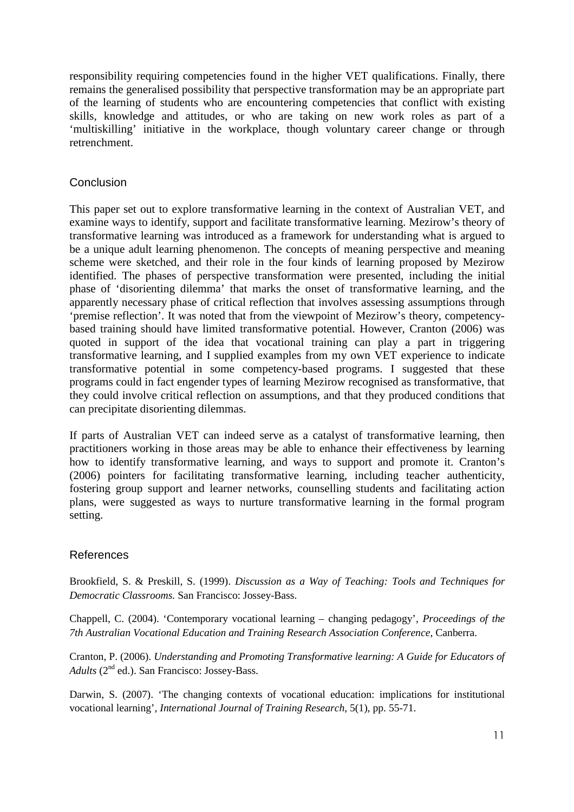responsibility requiring competencies found in the higher VET qualifications. Finally, there remains the generalised possibility that perspective transformation may be an appropriate part of the learning of students who are encountering competencies that conflict with existing skills, knowledge and attitudes, or who are taking on new work roles as part of a 'multiskilling' initiative in the workplace, though voluntary career change or through retrenchment.

# **Conclusion**

This paper set out to explore transformative learning in the context of Australian VET, and examine ways to identify, support and facilitate transformative learning. Mezirow's theory of transformative learning was introduced as a framework for understanding what is argued to be a unique adult learning phenomenon. The concepts of meaning perspective and meaning scheme were sketched, and their role in the four kinds of learning proposed by Mezirow identified. The phases of perspective transformation were presented, including the initial phase of 'disorienting dilemma' that marks the onset of transformative learning, and the apparently necessary phase of critical reflection that involves assessing assumptions through 'premise reflection'. It was noted that from the viewpoint of Mezirow's theory, competencybased training should have limited transformative potential. However, Cranton (2006) was quoted in support of the idea that vocational training can play a part in triggering transformative learning, and I supplied examples from my own VET experience to indicate transformative potential in some competency-based programs. I suggested that these programs could in fact engender types of learning Mezirow recognised as transformative, that they could involve critical reflection on assumptions, and that they produced conditions that can precipitate disorienting dilemmas.

If parts of Australian VET can indeed serve as a catalyst of transformative learning, then practitioners working in those areas may be able to enhance their effectiveness by learning how to identify transformative learning, and ways to support and promote it. Cranton's (2006) pointers for facilitating transformative learning, including teacher authenticity, fostering group support and learner networks, counselling students and facilitating action plans, were suggested as ways to nurture transformative learning in the formal program setting.

# References

Brookfield, S. & Preskill, S. (1999). *Discussion as a Way of Teaching: Tools and Techniques for Democratic Classrooms.* San Francisco: Jossey-Bass.

Chappell, C. (2004). 'Contemporary vocational learning – changing pedagogy', *Proceedings of the 7th Australian Vocational Education and Training Research Association Conference*, Canberra.

Cranton, P. (2006). *Understanding and Promoting Transformative learning: A Guide for Educators of Adults* (2<sup>nd</sup> ed.). San Francisco: Jossey-Bass.

Darwin, S. (2007). 'The changing contexts of vocational education: implications for institutional vocational learning', *International Journal of Training Research*, 5(1), pp. 55-71.